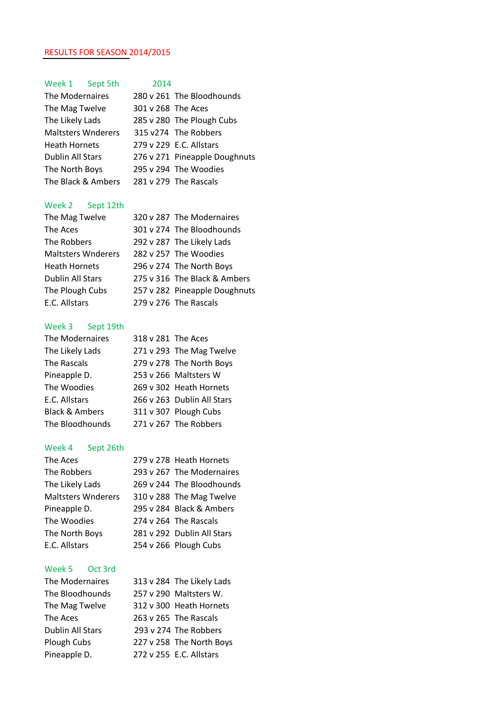# RESULTS FOR SEASON 2014/2015

|                         | Week 1 Sept 5th           | 2014               |                               |
|-------------------------|---------------------------|--------------------|-------------------------------|
| The Modernaires         |                           |                    | 280 v 261 The Bloodhounds     |
| The Mag Twelve          |                           | 301 v 268 The Aces |                               |
| The Likely Lads         |                           |                    | 285 v 280 The Plough Cubs     |
|                         | <b>Maltsters Wnderers</b> |                    | 315 v274 The Robbers          |
| <b>Heath Hornets</b>    |                           |                    | 279 v 229 E.C. Allstars       |
| <b>Dublin All Stars</b> |                           |                    | 276 v 271 Pineapple Doughnuts |
| The North Boys          |                           |                    | 295 v 294 The Woodies         |
|                         | The Black & Ambers        |                    | 281 v 279 The Rascals         |

# Week 2 Sept 12th

| The Mag Twelve            | 320 v 287 The Modernaires     |
|---------------------------|-------------------------------|
| The Aces                  | 301 v 274 The Bloodhounds     |
| The Robbers               | 292 v 287 The Likely Lads     |
| <b>Maltsters Wnderers</b> | 282 v 257 The Woodies         |
| <b>Heath Hornets</b>      | 296 v 274 The North Boys      |
| <b>Dublin All Stars</b>   | 275 v 316 The Black & Ambers  |
| The Plough Cubs           | 257 v 282 Pineapple Doughnuts |
| E.C. Allstars             | 279 v 276 The Rascals         |

# Week 3 Sept 19th

| The Modernaires           | 318 v 281 The Aces |                            |
|---------------------------|--------------------|----------------------------|
| The Likely Lads           |                    | 271 v 293 The Mag Twelve   |
| The Rascals               |                    | 279 v 278 The North Boys   |
| Pineapple D.              |                    | 253 v 266 Maltsters W      |
| The Woodies               |                    | 269 v 302 Heath Hornets    |
| E.C. Allstars             |                    | 266 v 263 Dublin All Stars |
| <b>Black &amp; Ambers</b> |                    | 311 v 307 Plough Cubs      |
| The Bloodhounds           |                    | 271 v 267 The Robbers      |

# Week 4 Sept 26th

| The Aces                  | 279 v 278 Heath Hornets    |
|---------------------------|----------------------------|
| The Robbers               | 293 v 267 The Modernaires  |
| The Likely Lads           | 269 v 244 The Bloodhounds  |
| <b>Maltsters Wnderers</b> | 310 v 288 The Mag Twelve   |
| Pineapple D.              | 295 v 284 Black & Ambers   |
| The Woodies               | 274 v 264 The Rascals      |
| The North Boys            | 281 v 292 Dublin All Stars |
| E.C. Allstars             | 254 v 266 Plough Cubs      |

#### Week 5 Oct 3rd

| The Modernaires         | 313 v 284 The Likely Lads |
|-------------------------|---------------------------|
| The Bloodhounds         | 257 v 290 Maltsters W.    |
| The Mag Twelve          | 312 v 300 Heath Hornets   |
| The Aces                | 263 v 265 The Rascals     |
| <b>Dublin All Stars</b> | 293 v 274 The Robbers     |
| Plough Cubs             | 227 v 258 The North Boys  |
| Pineapple D.            | 272 v 255 E.C. Allstars   |
|                         |                           |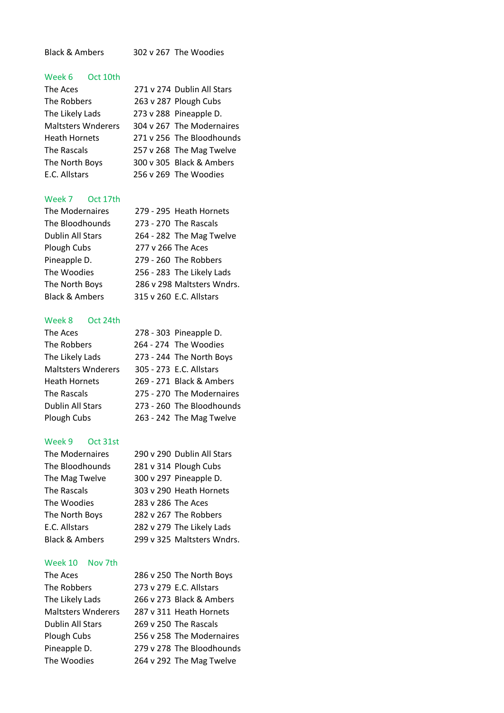# Black & Ambers 302 v 267 The Woodies

#### Week 6 Oct 10th

| The Aces                  | 271 v 274 Dublin All Stars |
|---------------------------|----------------------------|
| The Robbers               | 263 v 287 Plough Cubs      |
| The Likely Lads           | 273 v 288 Pineapple D.     |
| <b>Maltsters Wnderers</b> | 304 v 267 The Modernaires  |
| <b>Heath Hornets</b>      | 271 v 256 The Bloodhounds  |
| The Rascals               | 257 v 268 The Mag Twelve   |
| The North Boys            | 300 v 305 Black & Ambers   |
| E.C. Allstars             | 256 v 269 The Woodies      |

#### Week 7 Oct 17th

| The Modernaires           | 279 - 295 Heath Hornets    |
|---------------------------|----------------------------|
| The Bloodhounds           | 273 - 270 The Rascals      |
| <b>Dublin All Stars</b>   | 264 - 282 The Mag Twelve   |
| Plough Cubs               | 277 v 266 The Aces         |
| Pineapple D.              | 279 - 260 The Robbers      |
| The Woodies               | 256 - 283 The Likely Lads  |
| The North Boys            | 286 v 298 Maltsters Wndrs. |
| <b>Black &amp; Ambers</b> | 315 v 260 E.C. Allstars    |

### Week 8 Oct 24th

| The Aces                  | 278 - 303 Pineapple D.    |
|---------------------------|---------------------------|
| The Robbers               | 264 - 274 The Woodies     |
| The Likely Lads           | 273 - 244 The North Boys  |
| <b>Maltsters Wnderers</b> | 305 - 273 E.C. Allstars   |
| <b>Heath Hornets</b>      | 269 - 271 Black & Ambers  |
| The Rascals               | 275 - 270 The Modernaires |
| <b>Dublin All Stars</b>   | 273 - 260 The Bloodhounds |
| Plough Cubs               | 263 - 242 The Mag Twelve  |

# Week 9 Oct 31st

| The Modernaires           | 290 v 290 Dublin All Stars |
|---------------------------|----------------------------|
| The Bloodhounds           | 281 v 314 Plough Cubs      |
| The Mag Twelve            | 300 v 297 Pineapple D.     |
| The Rascals               | 303 v 290 Heath Hornets    |
| The Woodies               | 283 v 286 The Aces         |
| The North Boys            | 282 v 267 The Robbers      |
| E.C. Allstars             | 282 v 279 The Likely Lads  |
| <b>Black &amp; Ambers</b> | 299 v 325 Maltsters Wndrs. |

#### Week 10 Nov 7th

| The Aces                  | 286 v 250 The North Boys  |
|---------------------------|---------------------------|
| The Robbers               | 273 v 279 E.C. Allstars   |
| The Likely Lads           | 266 v 273 Black & Ambers  |
| <b>Maltsters Wnderers</b> | 287 v 311 Heath Hornets   |
| <b>Dublin All Stars</b>   | 269 v 250 The Rascals     |
| Plough Cubs               | 256 v 258 The Modernaires |
| Pineapple D.              | 279 v 278 The Bloodhounds |
| The Woodies               | 264 v 292 The Mag Twelve  |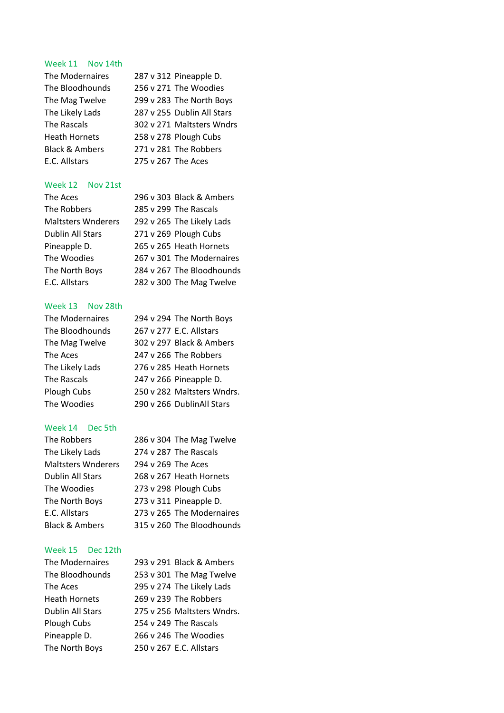#### Week 11 Nov 14th

| The Modernaires           | 287 v 312 Pineapple D.     |
|---------------------------|----------------------------|
| The Bloodhounds           | 256 v 271 The Woodies      |
| The Mag Twelve            | 299 v 283 The North Boys   |
| The Likely Lads           | 287 v 255 Dublin All Stars |
| The Rascals               | 302 v 271 Maltsters Wndrs  |
| <b>Heath Hornets</b>      | 258 v 278 Plough Cubs      |
| <b>Black &amp; Ambers</b> | 271 v 281 The Robbers      |
| E.C. Allstars             | 275 v 267 The Aces         |

# Week 12 Nov 21st

| 296 v 303 Black & Ambers  |
|---------------------------|
| 285 v 299 The Rascals     |
| 292 v 265 The Likely Lads |
| 271 v 269 Plough Cubs     |
| 265 v 265 Heath Hornets   |
| 267 v 301 The Modernaires |
| 284 v 267 The Bloodhounds |
| 282 v 300 The Mag Twelve  |
|                           |

### Week 13 Nov 28th

| The Modernaires | 294 v 294 The North Boys   |
|-----------------|----------------------------|
| The Bloodhounds | 267 v 277 E.C. Allstars    |
| The Mag Twelve  | 302 v 297 Black & Ambers   |
| The Aces        | 247 v 266 The Robbers      |
| The Likely Lads | 276 v 285 Heath Hornets    |
| The Rascals     | 247 v 266 Pineapple D.     |
| Plough Cubs     | 250 v 282 Maltsters Wndrs. |
| The Woodies     | 290 v 266 DublinAll Stars  |

# Week 14 Dec 5th

| The Robbers               | 286 v 304 The Mag Twelve  |
|---------------------------|---------------------------|
| The Likely Lads           | 274 v 287 The Rascals     |
| <b>Maltsters Wnderers</b> | 294 v 269 The Aces        |
| <b>Dublin All Stars</b>   | 268 v 267 Heath Hornets   |
| The Woodies               | 273 v 298 Plough Cubs     |
| The North Boys            | 273 v 311 Pineapple D.    |
| E.C. Allstars             | 273 v 265 The Modernaires |
| <b>Black &amp; Ambers</b> | 315 v 260 The Bloodhounds |

#### Week 15 Dec 12th

| The Modernaires         | 293 v 291 Black & Ambers   |
|-------------------------|----------------------------|
| The Bloodhounds         | 253 v 301 The Mag Twelve   |
| The Aces                | 295 v 274 The Likely Lads  |
| <b>Heath Hornets</b>    | 269 v 239 The Robbers      |
| <b>Dublin All Stars</b> | 275 v 256 Maltsters Wndrs. |
| Plough Cubs             | 254 v 249 The Rascals      |
| Pineapple D.            | 266 v 246 The Woodies      |
| The North Boys          | 250 v 267 E.C. Allstars    |
|                         |                            |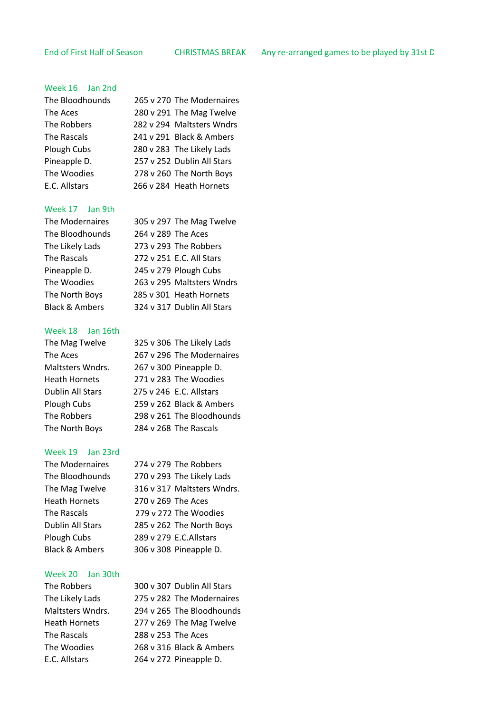## Week 16 Jan 2nd

| The Bloodhounds | 265 v 270 The Modernaires  |
|-----------------|----------------------------|
| The Aces        | 280 v 291 The Mag Twelve   |
| The Robbers     | 282 v 294 Maltsters Wndrs  |
| The Rascals     | 241 v 291 Black & Ambers   |
| Plough Cubs     | 280 v 283 The Likely Lads  |
| Pineapple D.    | 257 v 252 Dublin All Stars |
| The Woodies     | 278 v 260 The North Boys   |
| E.C. Allstars   | 266 v 284 Heath Hornets    |
|                 |                            |

#### Week 17 Jan 9th

| The Modernaires           |                    | 305 v 297 The Mag Twelve   |
|---------------------------|--------------------|----------------------------|
| The Bloodhounds           | 264 v 289 The Aces |                            |
| The Likely Lads           |                    | 273 v 293 The Robbers      |
| The Rascals               |                    | 272 v 251 E.C. All Stars   |
| Pineapple D.              |                    | 245 v 279 Plough Cubs      |
| The Woodies               |                    | 263 v 295 Maltsters Wndrs  |
| The North Boys            |                    | 285 v 301 Heath Hornets    |
| <b>Black &amp; Ambers</b> |                    | 324 v 317 Dublin All Stars |
|                           |                    |                            |

#### Week 18 Jan 16th

| The Mag Twelve          | 325 v 306 The Likely Lads |
|-------------------------|---------------------------|
| The Aces                | 267 v 296 The Modernaires |
| Maltsters Wndrs.        | 267 v 300 Pineapple D.    |
| <b>Heath Hornets</b>    | 271 v 283 The Woodies     |
| <b>Dublin All Stars</b> | 275 v 246 E.C. Allstars   |
| Plough Cubs             | 259 v 262 Black & Ambers  |
| The Robbers             | 298 v 261 The Bloodhounds |
| The North Boys          | 284 v 268 The Rascals     |
|                         |                           |

#### Week 19 Jan 23rd

| The Modernaires           | 274 v 279 The Robbers      |
|---------------------------|----------------------------|
| The Bloodhounds           | 270 v 293 The Likely Lads  |
| The Mag Twelve            | 316 v 317 Maltsters Wndrs. |
| <b>Heath Hornets</b>      | 270 v 269 The Aces         |
| The Rascals               | 279 v 272 The Woodies      |
| <b>Dublin All Stars</b>   | 285 v 262 The North Boys   |
| Plough Cubs               | 289 v 279 E.C. Allstars    |
| <b>Black &amp; Ambers</b> | 306 v 308 Pineapple D.     |
|                           |                            |

#### Week 20 Jan 30th

| The Robbers          |                    | 300 v 307 Dublin All Stars |
|----------------------|--------------------|----------------------------|
| The Likely Lads      |                    | 275 v 282 The Modernaires  |
| Maltsters Wndrs.     |                    | 294 v 265 The Bloodhounds  |
| <b>Heath Hornets</b> |                    | 277 v 269 The Mag Twelve   |
| The Rascals          | 288 v 253 The Aces |                            |
| The Woodies          |                    | 268 v 316 Black & Ambers   |
| E.C. Allstars        |                    | 264 v 272 Pineapple D.     |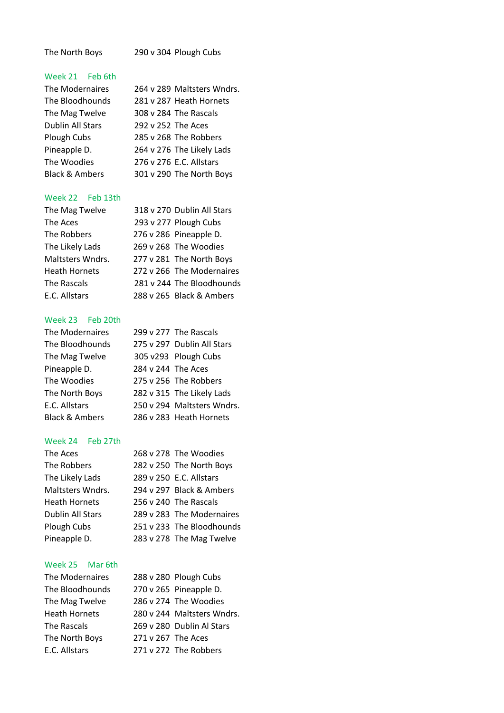# The North Boys 290 v 304 Plough Cubs

# Week 21 Feb 6th

| The Modernaires           |                    | 264 v 289 Maltsters Wndrs. |
|---------------------------|--------------------|----------------------------|
| The Bloodhounds           |                    | 281 v 287 Heath Hornets    |
| The Mag Twelve            |                    | 308 v 284 The Rascals      |
| <b>Dublin All Stars</b>   | 292 v 252 The Aces |                            |
| Plough Cubs               |                    | 285 v 268 The Robbers      |
| Pineapple D.              |                    | 264 v 276 The Likely Lads  |
| The Woodies               |                    | 276 v 276 E.C. Allstars    |
| <b>Black &amp; Ambers</b> |                    | 301 v 290 The North Boys   |

#### Week 22 Feb 13th

| The Mag Twelve       | 318 v 270 Dublin All Stars |
|----------------------|----------------------------|
| The Aces             | 293 v 277 Plough Cubs      |
| The Robbers          | 276 v 286 Pineapple D.     |
| The Likely Lads      | 269 v 268 The Woodies      |
| Maltsters Wndrs.     | 277 v 281 The North Boys   |
| <b>Heath Hornets</b> | 272 v 266 The Modernaires  |
| The Rascals          | 281 v 244 The Bloodhounds  |
| E.C. Allstars        | 288 v 265 Black & Ambers   |

### Week 23 Feb 20th

| The Modernaires           |                    | 299 v 277 The Rascals      |
|---------------------------|--------------------|----------------------------|
| The Bloodhounds           |                    | 275 v 297 Dublin All Stars |
| The Mag Twelve            |                    | 305 v293 Plough Cubs       |
| Pineapple D.              | 284 v 244 The Aces |                            |
| The Woodies               |                    | 275 v 256 The Robbers      |
| The North Boys            |                    | 282 v 315 The Likely Lads  |
| E.C. Allstars             |                    | 250 v 294 Maltsters Wndrs. |
| <b>Black &amp; Ambers</b> |                    | 286 v 283 Heath Hornets    |

#### Week 24 Feb 27th

| The Aces                | 268 v 278 The Woodies     |
|-------------------------|---------------------------|
| The Robbers             | 282 v 250 The North Boys  |
| The Likely Lads         | 289 v 250 E.C. Allstars   |
| Maltsters Wndrs.        | 294 v 297 Black & Ambers  |
| <b>Heath Hornets</b>    | 256 v 240 The Rascals     |
| <b>Dublin All Stars</b> | 289 v 283 The Modernaires |
| Plough Cubs             | 251 v 233 The Bloodhounds |
| Pineapple D.            | 283 v 278 The Mag Twelve  |

## Week 25 Mar 6th

| The Modernaires      |                    | 288 v 280 Plough Cubs      |
|----------------------|--------------------|----------------------------|
| The Bloodhounds      |                    | 270 v 265 Pineapple D.     |
| The Mag Twelve       |                    | 286 v 274 The Woodies      |
| <b>Heath Hornets</b> |                    | 280 v 244 Maltsters Wndrs. |
| The Rascals          |                    | 269 v 280 Dublin Al Stars  |
| The North Boys       | 271 v 267 The Aces |                            |
| E.C. Allstars        |                    | 271 v 272 The Robbers      |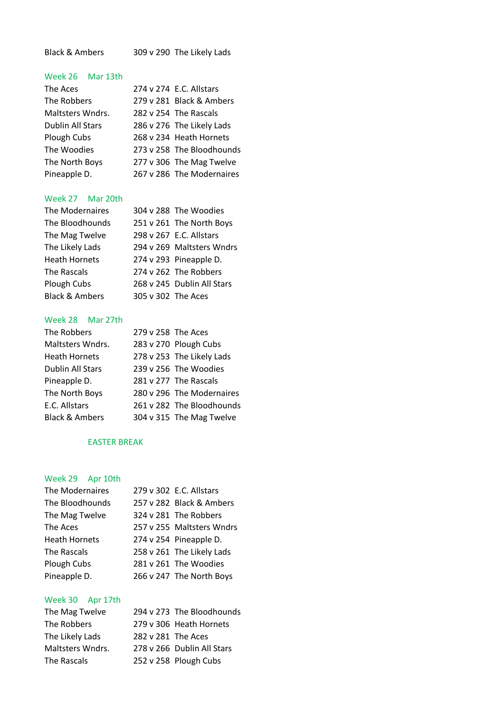# Black & Ambers 309 v 290 The Likely Lads

# Week 26 Mar 13th

| The Aces                | 274 v 274 E.C. Allstars   |
|-------------------------|---------------------------|
| The Robbers             | 279 v 281 Black & Ambers  |
| Maltsters Wndrs.        | 282 v 254 The Rascals     |
| <b>Dublin All Stars</b> | 286 v 276 The Likely Lads |
| Plough Cubs             | 268 v 234 Heath Hornets   |
| The Woodies             | 273 v 258 The Bloodhounds |
| The North Boys          | 277 v 306 The Mag Twelve  |
| Pineapple D.            | 267 v 286 The Modernaires |

#### Week 27 Mar 20th

| The Modernaires           |                    | 304 v 288 The Woodies      |
|---------------------------|--------------------|----------------------------|
| The Bloodhounds           |                    | 251 v 261 The North Boys   |
| The Mag Twelve            |                    | 298 v 267 E.C. Allstars    |
| The Likely Lads           |                    | 294 v 269 Maltsters Wndrs  |
| <b>Heath Hornets</b>      |                    | 274 v 293 Pineapple D.     |
| The Rascals               |                    | 274 v 262 The Robbers      |
| Plough Cubs               |                    | 268 v 245 Dublin All Stars |
| <b>Black &amp; Ambers</b> | 305 v 302 The Aces |                            |

#### Week 28 Mar 27th

| The Robbers               | 279 v 258 The Aces |                           |
|---------------------------|--------------------|---------------------------|
| Maltsters Wndrs.          |                    | 283 v 270 Plough Cubs     |
| <b>Heath Hornets</b>      |                    | 278 v 253 The Likely Lads |
| <b>Dublin All Stars</b>   |                    | 239 v 256 The Woodies     |
| Pineapple D.              |                    | 281 v 277 The Rascals     |
| The North Boys            |                    | 280 v 296 The Modernaires |
| E.C. Allstars             |                    | 261 v 282 The Bloodhounds |
| <b>Black &amp; Ambers</b> |                    | 304 v 315 The Mag Twelve  |

### EASTER BREAK

# Week 29 Apr 10th

| 279 v 302 E.C. Allstars   |
|---------------------------|
| 257 v 282 Black & Ambers  |
| 324 v 281 The Robbers     |
| 257 v 255 Maltsters Wndrs |
| 274 v 254 Pineapple D.    |
| 258 v 261 The Likely Lads |
| 281 v 261 The Woodies     |
| 266 v 247 The North Boys  |
|                           |

# Week 30 Apr 17th

|                    | 294 v 273 The Bloodhounds  |
|--------------------|----------------------------|
|                    | 279 v 306 Heath Hornets    |
| 282 v 281 The Aces |                            |
|                    | 278 v 266 Dublin All Stars |
|                    | 252 v 258 Plough Cubs      |
|                    |                            |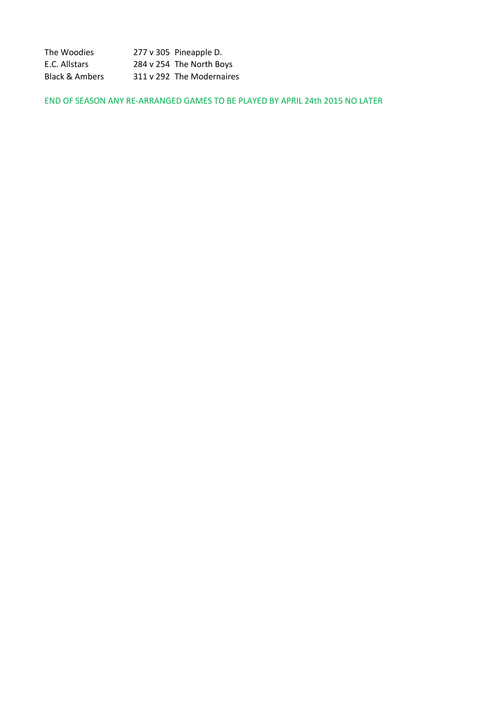| The Woodies               | 277 v 305 Pineapple D.    |
|---------------------------|---------------------------|
| E.C. Allstars             | 284 v 254 The North Boys  |
| <b>Black &amp; Ambers</b> | 311 v 292 The Modernaires |

END OF SEASON ANY RE-ARRANGED GAMES TO BE PLAYED BY APRIL 24th 2015 NO LATER